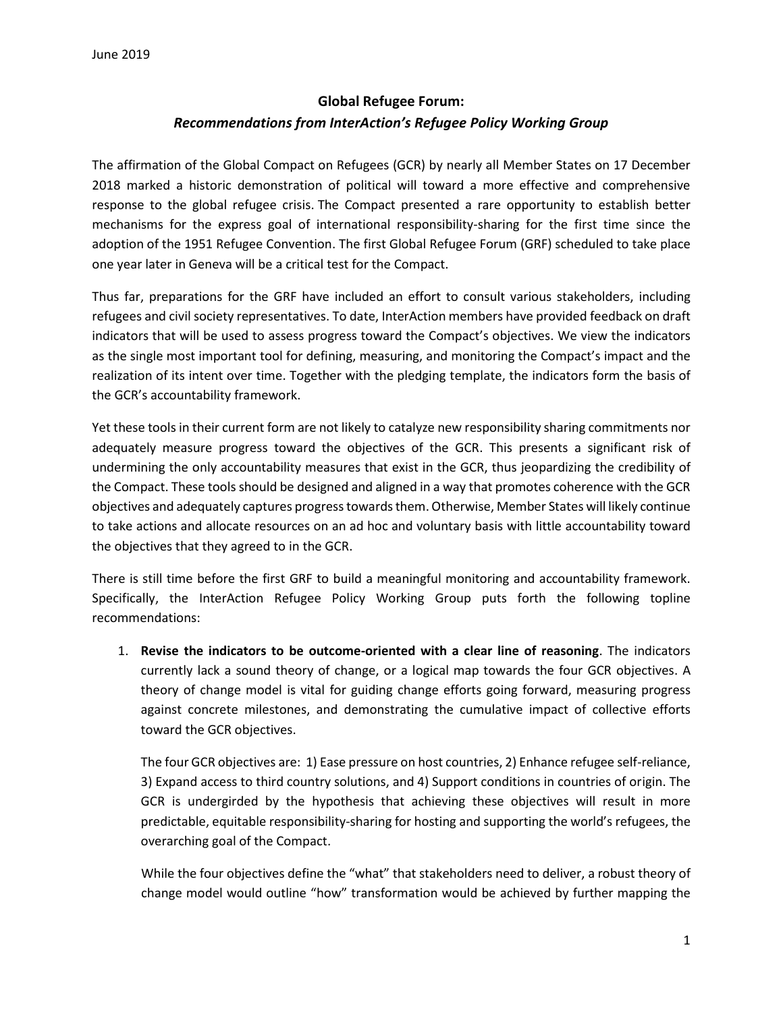## **Global Refugee Forum:** *Recommendations from InterAction's Refugee Policy Working Group*

The affirmation of the Global Compact on Refugees (GCR) by nearly all Member States on 17 December 2018 marked a historic demonstration of political will toward a more effective and comprehensive response to the global refugee crisis. The Compact presented a rare opportunity to establish better mechanisms for the express goal of international responsibility-sharing for the first time since the adoption of the 1951 Refugee Convention. The first Global Refugee Forum (GRF) scheduled to take place one year later in Geneva will be a critical test for the Compact.

Thus far, preparations for the GRF have included an effort to consult various stakeholders, including refugees and civil society representatives. To date, InterAction members have provided feedback on draft indicators that will be used to assess progress toward the Compact's objectives. We view the indicators as the single most important tool for defining, measuring, and monitoring the Compact's impact and the realization of its intent over time. Together with the pledging template, the indicators form the basis of the GCR's accountability framework.

Yet these tools in their current form are not likely to catalyze new responsibility sharing commitments nor adequately measure progress toward the objectives of the GCR. This presents a significant risk of undermining the only accountability measures that exist in the GCR, thus jeopardizing the credibility of the Compact. These tools should be designed and aligned in a way that promotes coherence with the GCR objectives and adequately captures progress towards them. Otherwise, Member States will likely continue to take actions and allocate resources on an ad hoc and voluntary basis with little accountability toward the objectives that they agreed to in the GCR.

There is still time before the first GRF to build a meaningful monitoring and accountability framework. Specifically, the InterAction Refugee Policy Working Group puts forth the following topline recommendations:

1. **Revise the indicators to be outcome-oriented with a clear line of reasoning**. The indicators currently lack a sound theory of change, or a logical map towards the four GCR objectives. A theory of change model is vital for guiding change efforts going forward, measuring progress against concrete milestones, and demonstrating the cumulative impact of collective efforts toward the GCR objectives.

The four GCR objectives are: 1) Ease pressure on host countries, 2) Enhance refugee self-reliance, 3) Expand access to third country solutions, and 4) Support conditions in countries of origin. The GCR is undergirded by the hypothesis that achieving these objectives will result in more predictable, equitable responsibility-sharing for hosting and supporting the world's refugees, the overarching goal of the Compact.

While the four objectives define the "what" that stakeholders need to deliver, a robust theory of change model would outline "how" transformation would be achieved by further mapping the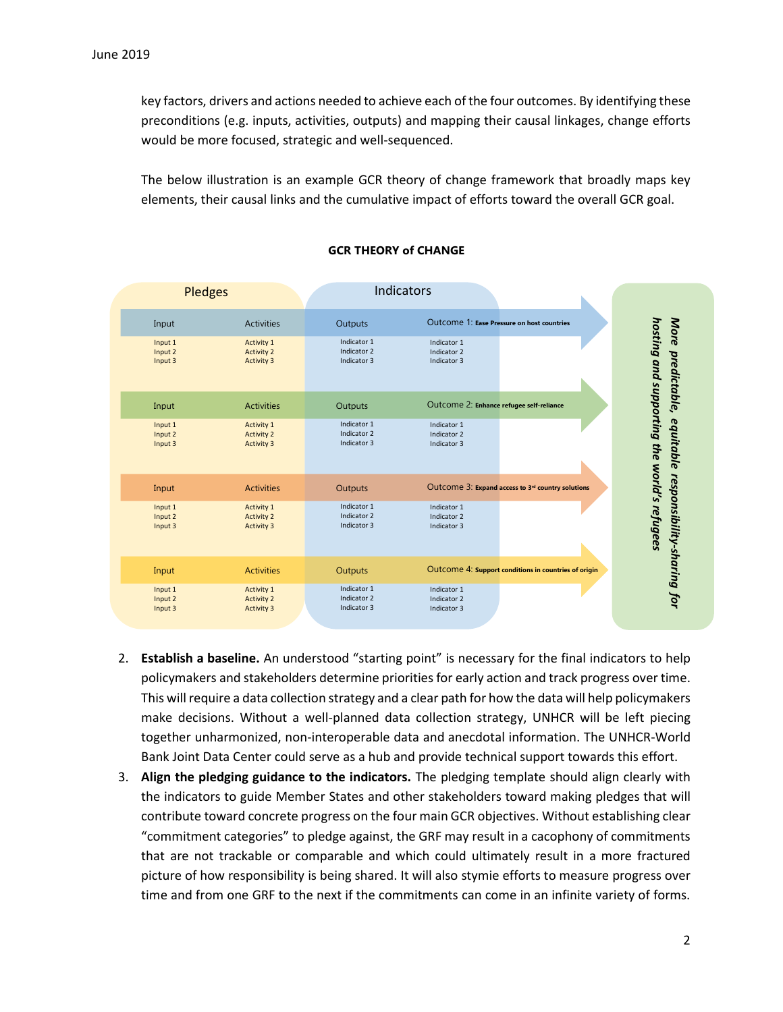key factors, drivers and actions needed to achieve each of the four outcomes. By identifying these preconditions (e.g. inputs, activities, outputs) and mapping their causal linkages, change efforts would be more focused, strategic and well-sequenced.

The below illustration is an example GCR theory of change framework that broadly maps key elements, their causal links and the cumulative impact of efforts toward the overall GCR goal.



## **GCR THEORY of CHANGE**

- 2. **Establish a baseline.** An understood "starting point" is necessary for the final indicators to help policymakers and stakeholders determine priorities for early action and track progress over time. This will require a data collection strategy and a clear path for how the data will help policymakers make decisions. Without a well-planned data collection strategy, UNHCR will be left piecing together unharmonized, non-interoperable data and anecdotal information. The UNHCR-World Bank Joint Data Center could serve as a hub and provide technical support towards this effort.
- 3. **Align the pledging guidance to the indicators.** The pledging template should align clearly with the indicators to guide Member States and other stakeholders toward making pledges that will contribute toward concrete progress on the four main GCR objectives. Without establishing clear "commitment categories" to pledge against, the GRF may result in a cacophony of commitments that are not trackable or comparable and which could ultimately result in a more fractured picture of how responsibility is being shared. It will also stymie efforts to measure progress over time and from one GRF to the next if the commitments can come in an infinite variety of forms.